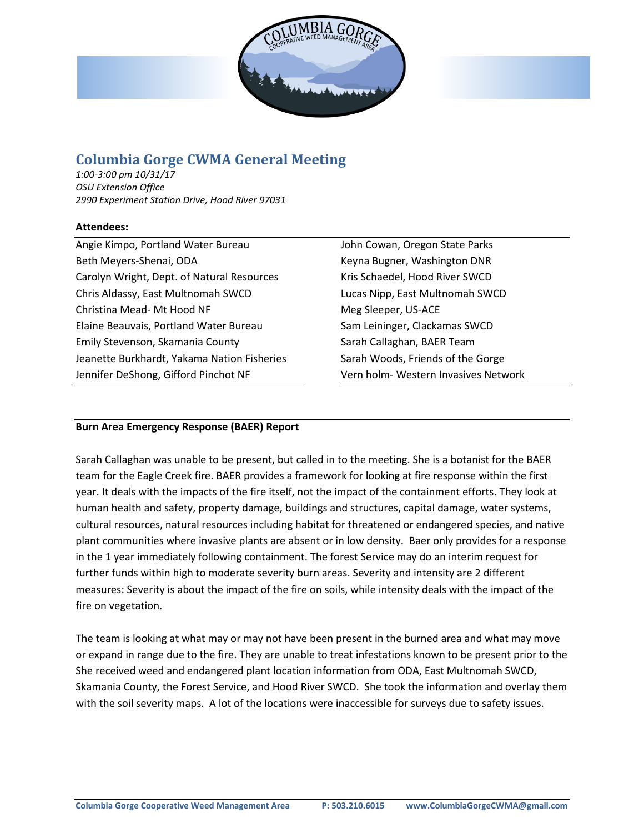

# **Columbia Gorge CWMA General Meeting**

*1:00-3:00 pm 10/31/17 OSU Extension Office 2990 Experiment Station Drive, Hood River 97031*

#### **Attendees:**

Angie Kimpo, Portland Water Bureau Beth Meyers-Shenai, ODA Carolyn Wright, Dept. of Natural Resources Chris Aldassy, East Multnomah SWCD Christina Mead- Mt Hood NF Elaine Beauvais, Portland Water Bureau Emily Stevenson, Skamania County Jeanette Burkhardt, Yakama Nation Fisheries Jennifer DeShong, Gifford Pinchot NF

John Cowan, Oregon State Parks Keyna Bugner, Washington DNR Kris Schaedel, Hood River SWCD Lucas Nipp, East Multnomah SWCD Meg Sleeper, US-ACE Sam Leininger, Clackamas SWCD Sarah Callaghan, BAER Team Sarah Woods, Friends of the Gorge Vern holm- Western Invasives Network

## **Burn Area Emergency Response (BAER) Report**

Sarah Callaghan was unable to be present, but called in to the meeting. She is a botanist for the BAER team for the Eagle Creek fire. BAER provides a framework for looking at fire response within the first year. It deals with the impacts of the fire itself, not the impact of the containment efforts. They look at human health and safety, property damage, buildings and structures, capital damage, water systems, cultural resources, natural resources including habitat for threatened or endangered species, and native plant communities where invasive plants are absent or in low density. Baer only provides for a response in the 1 year immediately following containment. The forest Service may do an interim request for further funds within high to moderate severity burn areas. Severity and intensity are 2 different measures: Severity is about the impact of the fire on soils, while intensity deals with the impact of the fire on vegetation.

The team is looking at what may or may not have been present in the burned area and what may move or expand in range due to the fire. They are unable to treat infestations known to be present prior to the She received weed and endangered plant location information from ODA, East Multnomah SWCD, Skamania County, the Forest Service, and Hood River SWCD. She took the information and overlay them with the soil severity maps. A lot of the locations were inaccessible for surveys due to safety issues.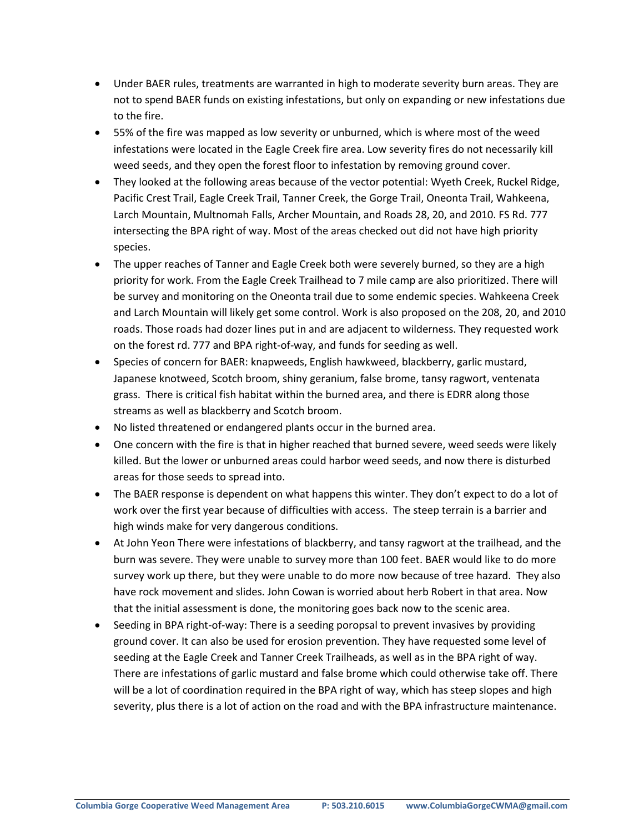- Under BAER rules, treatments are warranted in high to moderate severity burn areas. They are not to spend BAER funds on existing infestations, but only on expanding or new infestations due to the fire.
- 55% of the fire was mapped as low severity or unburned, which is where most of the weed infestations were located in the Eagle Creek fire area. Low severity fires do not necessarily kill weed seeds, and they open the forest floor to infestation by removing ground cover.
- They looked at the following areas because of the vector potential: Wyeth Creek, Ruckel Ridge, Pacific Crest Trail, Eagle Creek Trail, Tanner Creek, the Gorge Trail, Oneonta Trail, Wahkeena, Larch Mountain, Multnomah Falls, Archer Mountain, and Roads 28, 20, and 2010. FS Rd. 777 intersecting the BPA right of way. Most of the areas checked out did not have high priority species.
- The upper reaches of Tanner and Eagle Creek both were severely burned, so they are a high priority for work. From the Eagle Creek Trailhead to 7 mile camp are also prioritized. There will be survey and monitoring on the Oneonta trail due to some endemic species. Wahkeena Creek and Larch Mountain will likely get some control. Work is also proposed on the 208, 20, and 2010 roads. Those roads had dozer lines put in and are adjacent to wilderness. They requested work on the forest rd. 777 and BPA right-of-way, and funds for seeding as well.
- Species of concern for BAER: knapweeds, English hawkweed, blackberry, garlic mustard, Japanese knotweed, Scotch broom, shiny geranium, false brome, tansy ragwort, ventenata grass. There is critical fish habitat within the burned area, and there is EDRR along those streams as well as blackberry and Scotch broom.
- No listed threatened or endangered plants occur in the burned area.
- One concern with the fire is that in higher reached that burned severe, weed seeds were likely killed. But the lower or unburned areas could harbor weed seeds, and now there is disturbed areas for those seeds to spread into.
- The BAER response is dependent on what happens this winter. They don't expect to do a lot of work over the first year because of difficulties with access. The steep terrain is a barrier and high winds make for very dangerous conditions.
- At John Yeon There were infestations of blackberry, and tansy ragwort at the trailhead, and the burn was severe. They were unable to survey more than 100 feet. BAER would like to do more survey work up there, but they were unable to do more now because of tree hazard. They also have rock movement and slides. John Cowan is worried about herb Robert in that area. Now that the initial assessment is done, the monitoring goes back now to the scenic area.
- Seeding in BPA right-of-way: There is a seeding poropsal to prevent invasives by providing ground cover. It can also be used for erosion prevention. They have requested some level of seeding at the Eagle Creek and Tanner Creek Trailheads, as well as in the BPA right of way. There are infestations of garlic mustard and false brome which could otherwise take off. There will be a lot of coordination required in the BPA right of way, which has steep slopes and high severity, plus there is a lot of action on the road and with the BPA infrastructure maintenance.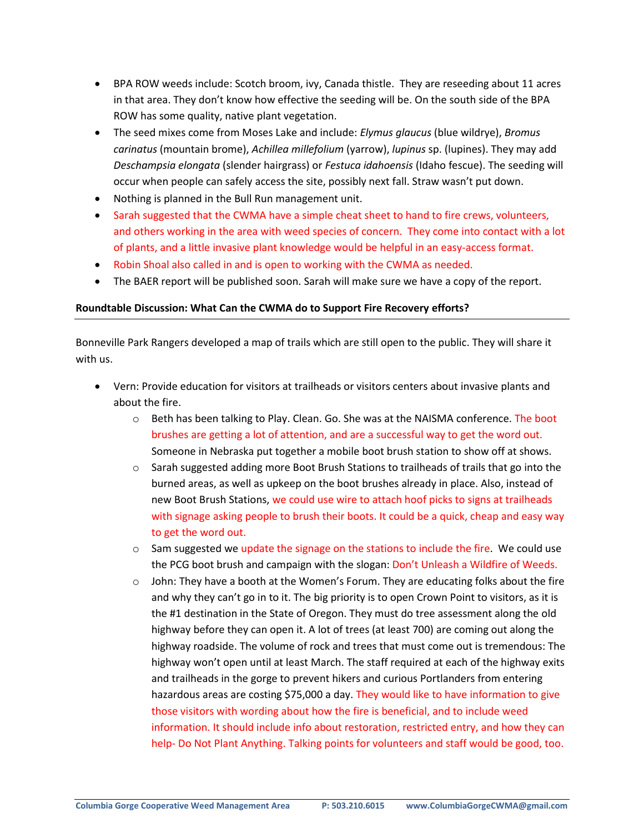- BPA ROW weeds include: Scotch broom, ivy, Canada thistle. They are reseeding about 11 acres in that area. They don't know how effective the seeding will be. On the south side of the BPA ROW has some quality, native plant vegetation.
- The seed mixes come from Moses Lake and include: *Elymus glaucus* (blue wildrye), *Bromus carinatus* (mountain brome), *Achillea millefolium* (yarrow), *lupinus* sp. (lupines). They may add *Deschampsia elongata* (slender hairgrass) or *Festuca idahoensis* (Idaho fescue). The seeding will occur when people can safely access the site, possibly next fall. Straw wasn't put down.
- Nothing is planned in the Bull Run management unit.
- Sarah suggested that the CWMA have a simple cheat sheet to hand to fire crews, volunteers, and others working in the area with weed species of concern. They come into contact with a lot of plants, and a little invasive plant knowledge would be helpful in an easy-access format.
- Robin Shoal also called in and is open to working with the CWMA as needed.
- The BAER report will be published soon. Sarah will make sure we have a copy of the report.

#### **Roundtable Discussion: What Can the CWMA do to Support Fire Recovery efforts?**

Bonneville Park Rangers developed a map of trails which are still open to the public. They will share it with us.

- Vern: Provide education for visitors at trailheads or visitors centers about invasive plants and about the fire.
	- $\circ$  Beth has been talking to Play. Clean. Go. She was at the NAISMA conference. The boot brushes are getting a lot of attention, and are a successful way to get the word out. Someone in Nebraska put together a mobile boot brush station to show off at shows.
	- o Sarah suggested adding more Boot Brush Stations to trailheads of trails that go into the burned areas, as well as upkeep on the boot brushes already in place. Also, instead of new Boot Brush Stations, we could use wire to attach hoof picks to signs at trailheads with signage asking people to brush their boots. It could be a quick, cheap and easy way to get the word out.
	- $\circ$  Sam suggested we update the signage on the stations to include the fire. We could use the PCG boot brush and campaign with the slogan: Don't Unleash a Wildfire of Weeds.
	- $\circ$  John: They have a booth at the Women's Forum. They are educating folks about the fire and why they can't go in to it. The big priority is to open Crown Point to visitors, as it is the #1 destination in the State of Oregon. They must do tree assessment along the old highway before they can open it. A lot of trees (at least 700) are coming out along the highway roadside. The volume of rock and trees that must come out is tremendous: The highway won't open until at least March. The staff required at each of the highway exits and trailheads in the gorge to prevent hikers and curious Portlanders from entering hazardous areas are costing \$75,000 a day. They would like to have information to give those visitors with wording about how the fire is beneficial, and to include weed information. It should include info about restoration, restricted entry, and how they can help- Do Not Plant Anything. Talking points for volunteers and staff would be good, too.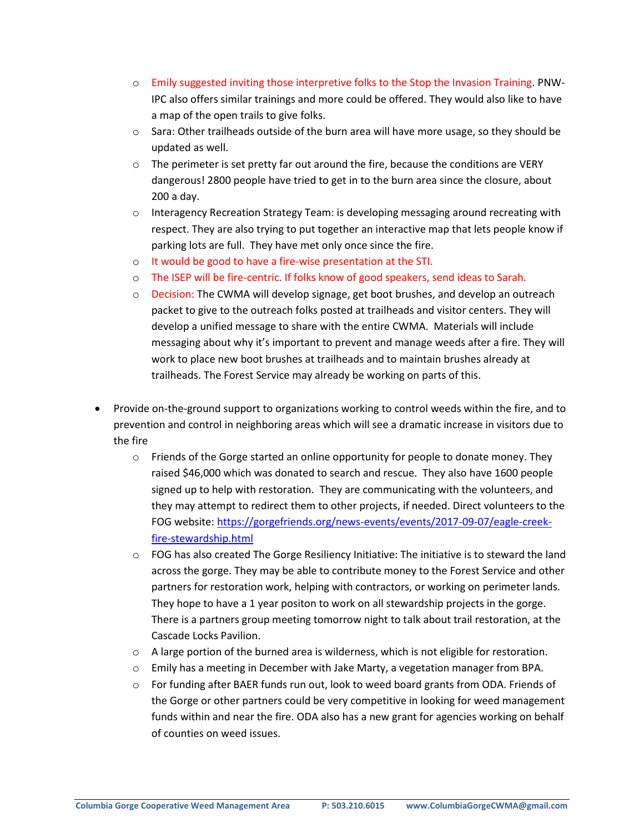- o Emily suggested inviting those interpretive folks to the Stop the Invasion Training. PNW-IPC also offers similar trainings and more could be offered. They would also like to have a map of the open trails to give folks.
- o Sara: Other trailheads outside of the burn area will have more usage, so they should be updated as well.
- $\circ$  The perimeter is set pretty far out around the fire, because the conditions are VERY dangerous! 2800 people have tried to get in to the burn area since the closure, about 200 a day.
- $\circ$  Interagency Recreation Strategy Team: is developing messaging around recreating with respect. They are also trying to put together an interactive map that lets people know if parking lots are full. They have met only once since the fire.
- o It would be good to have a fire-wise presentation at the STI.
- o The ISEP will be fire-centric. If folks know of good speakers, send ideas to Sarah.
- o Decision: The CWMA will develop signage, get boot brushes, and develop an outreach packet to give to the outreach folks posted at trailheads and visitor centers. They will develop a unified message to share with the entire CWMA. Materials will include messaging about why it's important to prevent and manage weeds after a fire. They will work to place new boot brushes at trailheads and to maintain brushes already at trailheads. The Forest Service may already be working on parts of this.
- Provide on-the-ground support to organizations working to control weeds within the fire, and to prevention and control in neighboring areas which will see a dramatic increase in visitors due to the fire
	- $\circ$  Friends of the Gorge started an online opportunity for people to donate money. They raised \$46,000 which was donated to search and rescue. They also have 1600 people signed up to help with restoration. They are communicating with the volunteers, and they may attempt to redirect them to other projects, if needed. Direct volunteers to the FOG website: [https://gorgefriends.org/news-events/events/2017-09-07/eagle-creek](https://gorgefriends.org/news-events/events/2017-09-07/eagle-creek-fire-stewardship.html)[fire-stewardship.html](https://gorgefriends.org/news-events/events/2017-09-07/eagle-creek-fire-stewardship.html)
	- o FOG has also created The Gorge Resiliency Initiative: The initiative is to steward the land across the gorge. They may be able to contribute money to the Forest Service and other partners for restoration work, helping with contractors, or working on perimeter lands. They hope to have a 1 year positon to work on all stewardship projects in the gorge. There is a partners group meeting tomorrow night to talk about trail restoration, at the Cascade Locks Pavilion.
	- $\circ$  A large portion of the burned area is wilderness, which is not eligible for restoration.
	- $\circ$  Emily has a meeting in December with Jake Marty, a vegetation manager from BPA.
	- o For funding after BAER funds run out, look to weed board grants from ODA. Friends of the Gorge or other partners could be very competitive in looking for weed management funds within and near the fire. ODA also has a new grant for agencies working on behalf of counties on weed issues.